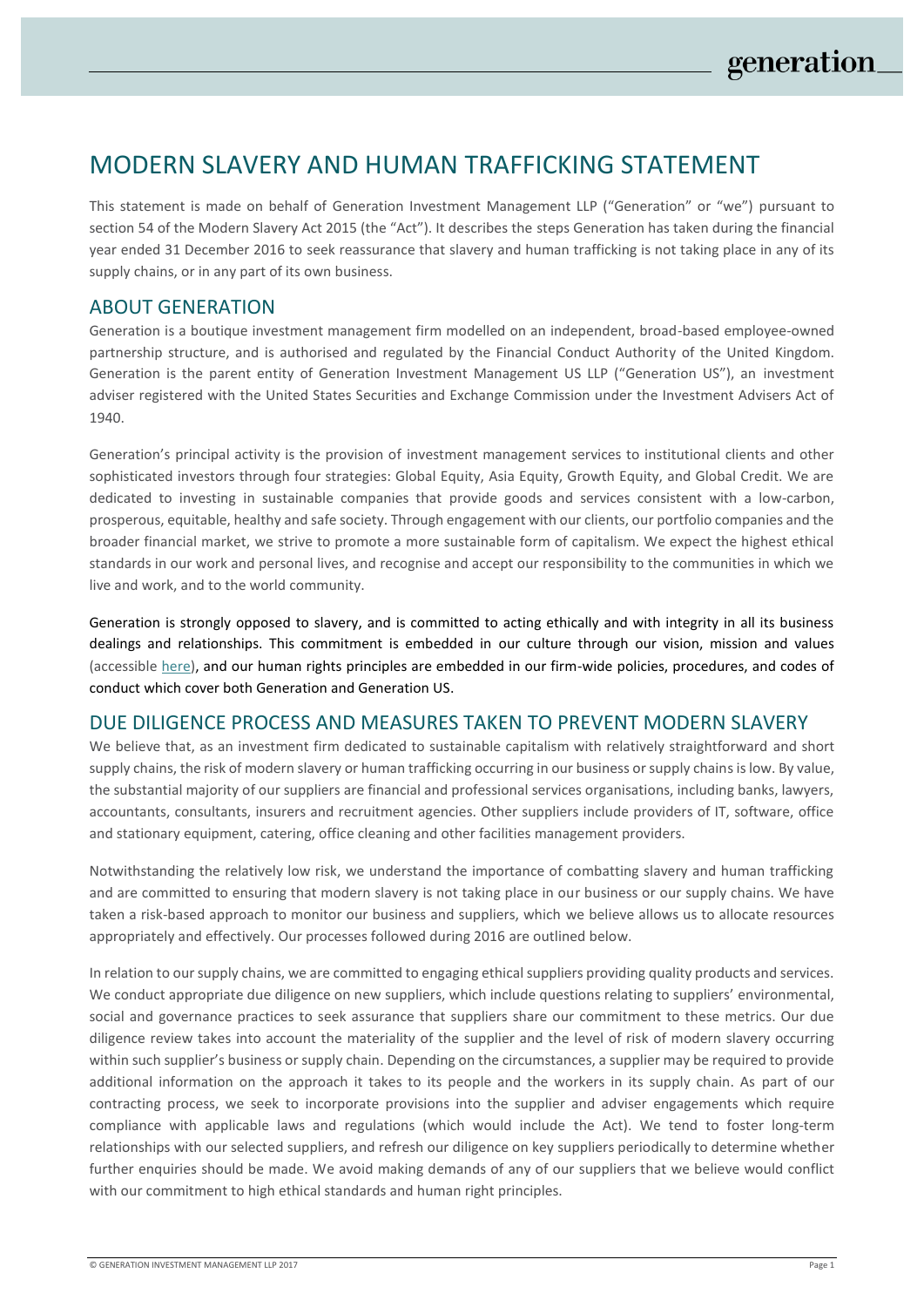# MODERN SLAVERY AND HUMAN TRAFFICKING STATEMENT

This statement is made on behalf of Generation Investment Management LLP ("Generation" or "we") pursuant to section 54 of the Modern Slavery Act 2015 (the "Act"). It describes the steps Generation has taken during the financial year ended 31 December 2016 to seek reassurance that slavery and human trafficking is not taking place in any of its supply chains, or in any part of its own business.

# ABOUT GENERATION

Generation is a boutique investment management firm modelled on an independent, broad-based employee-owned partnership structure, and is authorised and regulated by the Financial Conduct Authority of the United Kingdom. Generation is the parent entity of Generation Investment Management US LLP ("Generation US"), an investment adviser registered with the United States Securities and Exchange Commission under the Investment Advisers Act of 1940.

Generation's principal activity is the provision of investment management services to institutional clients and other sophisticated investors through four strategies: Global Equity, Asia Equity, Growth Equity, and Global Credit. We are dedicated to investing in sustainable companies that provide goods and services consistent with a low-carbon, prosperous, equitable, healthy and safe society. Through engagement with our clients, our portfolio companies and the broader financial market, we strive to promote a more sustainable form of capitalism. We expect the highest ethical standards in our work and personal lives, and recognise and accept our responsibility to the communities in which we live and work, and to the world community.

Generation is strongly opposed to slavery, and is committed to acting ethically and with integrity in all its business dealings and relationships. This commitment is embedded in our culture through our vision, mission and values (accessible [here\)](https://www.generationim.com/generation-philosophy/), and our human rights principles are embedded in our firm-wide policies, procedures, and codes of conduct which cover both Generation and Generation US.

### DUE DILIGENCE PROCESS AND MEASURES TAKEN TO PREVENT MODERN SLAVERY

We believe that, as an investment firm dedicated to sustainable capitalism with relatively straightforward and short supply chains, the risk of modern slavery or human trafficking occurring in our business or supply chains is low. By value, the substantial majority of our suppliers are financial and professional services organisations, including banks, lawyers, accountants, consultants, insurers and recruitment agencies. Other suppliers include providers of IT, software, office and stationary equipment, catering, office cleaning and other facilities management providers.

Notwithstanding the relatively low risk, we understand the importance of combatting slavery and human trafficking and are committed to ensuring that modern slavery is not taking place in our business or our supply chains. We have taken a risk-based approach to monitor our business and suppliers, which we believe allows us to allocate resources appropriately and effectively. Our processes followed during 2016 are outlined below.

In relation to our supply chains, we are committed to engaging ethical suppliers providing quality products and services. We conduct appropriate due diligence on new suppliers, which include questions relating to suppliers' environmental, social and governance practices to seek assurance that suppliers share our commitment to these metrics. Our due diligence review takes into account the materiality of the supplier and the level of risk of modern slavery occurring within such supplier's business or supply chain. Depending on the circumstances, a supplier may be required to provide additional information on the approach it takes to its people and the workers in its supply chain. As part of our contracting process, we seek to incorporate provisions into the supplier and adviser engagements which require compliance with applicable laws and regulations (which would include the Act). We tend to foster long-term relationships with our selected suppliers, and refresh our diligence on key suppliers periodically to determine whether further enquiries should be made. We avoid making demands of any of our suppliers that we believe would conflict with our commitment to high ethical standards and human right principles.